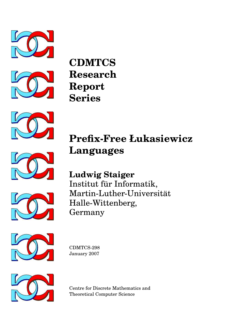



**CDMTCS Research Report Series**

**Languages**







**Prefix-Free Łukasiewicz**



Martin-Luther-Universitat¨ Halle-Wittenberg, Germany



CDMTCS-298 January 2007



Centre for Discrete Mathematics and Theoretical Computer Science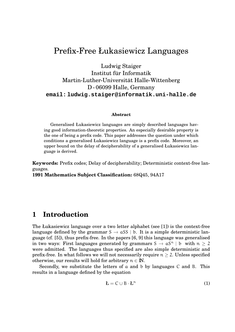# Prefix-Free Łukasiewicz Languages

Ludwig Staiger

### Institut für Informatik Martin-Luther-Universitat Halle-Wittenberg ¨ D - 06099 Halle, Germany **email: ludwig.staiger@informatik.uni-halle.de**

#### **Abstract**

Generalised Łukasiewicz languages are simply described languages having good information-theoretic properties. An especially desirable property is the one of being a prefix code. This paper addresses the question under which conditions a generalised Łukasiewicz language is a prefix code. Moreover, an upper bound on the delay of decipherability of a generalised Łukasiewicz language is derived.

**Keywords:** Prefix codes; Delay of decipherability; Deterministic context-free languages.

**1991 Mathematics Subject Classification:** 68Q45, 94A17

#### **1 Introduction**

The Łukasiewicz language over a two letter alphabet (see [1]) is the context-free language defined by the grammar  $S \rightarrow aSS \mid b$ . It is a simple deterministic language (cf. [5]), thus prefix-free. In the papers [6, 9] this language was generalised in two ways: First languages generated by grammars  $S \to aS^n \mid b$  with  $n \geq 2$ were admitted. The languages thus specified are also simple deterministic and prefix-free. In what follows we will not necessarily require  $n \geq 2$ . Unless specified otherwise, our results will hold for arbitrary  $n \in \mathbb{N}$ .

Secondly, we substitute the letters of a and b by languages C and B. This results in a language defined by the equation

$$
\mathbf{L} = \mathbf{C} \cup \mathbf{B} \cdot \mathbf{L}^{\mathfrak{n}} \tag{1}
$$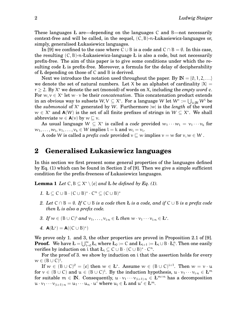These languages Ł are—depending on the languages C and B—not necessarily context-free and will be called, in the sequel,  $(C, B)$ -n-Łukasiewicz-languages or, simply, generalised Łukasiewicz languages.

In [9] we confined to the case where  $C \cup B$  is a code and  $C \cap B = \emptyset$ . In this case, the resulting  $(C, B)$ -n-Łukasiewicz-language Ł is also a code, but not necessarily prefix-free. The aim of this paper is to give some conditions under which the resulting code  $E$  is prefix-free. Moreover, a formula for the delay of decipherability of Ł depending on those of C and B is derived.

Next we introduce the notation used throughout the paper. By  $\mathbb{N} = \{0, 1, 2, \ldots\}$ we denote the set of natural numbers. Let X be an alphabet of cardinality  $|X|$  $r \geq 2$ . By  $X^*$  we denote the set (monoid) of words on X, including the *empty word e*. For  $w, v \in X^*$  let  $w \cdot v$  be their *concatenation*. This concatenation product extends in an obvious way to subsets  $W\!,V\subseteq X^*\!.$  For a language  $W$  let  $W^*\coloneqq\bigcup_{\mathfrak{i}\in\mathbb{N}}W^{\mathfrak{i}}$  be the *submonoid* of X <sup>∗</sup> generated by W. Furthermore |w| is the *length* of the word  $w \in X^*$  and  $\mathbf{A}(W)$  is the set of all finite prefixes of strings in  $W \subseteq X^*$ . We shall abbreviate  $w \in A(v)$  by  $w \sqsubset v$ .

As usual language  $W \subseteq X^*$  is called a *code* provided  $w_1 \cdots w_l = v_1 \cdots v_k$  for  $w_1, \ldots, w_l, v_1, \ldots, v_k \in W$  implies  $l = k$  and  $w_i = v_i$ .

A code W is called a *prefix code* provided  $v \subseteq w$  implies  $v = w$  for  $v, w \in W$ .

#### **2 Generalised Łukasiewicz languages**

In this section we first present some general properties of the languages defined by Eq. (1) which can be found in Section 2 of [9]. Then we give a simple sufficient condition for the prefix-freeness of Łukasiewicz languages.

**Lemma 1** *Let*  $C, B \subseteq X^* \setminus \{e\}$  *and*  $E$  *be defined by Eq. (1).* 

- 1.  $\mathbf{L} \subseteq \mathbf{C} \cup \mathbf{B} \cdot (\mathbf{C} \cup \mathbf{B})^* \cdot \mathbf{C}^n \subseteq (\mathbf{C} \cup \mathbf{B})^*$
- *2. Let* C ∩ B = ∅*. If* C ∪ B *is a code then* Ł *is a code, and if* C ∪ B *is a prefix code then* Ł *is also a prefix code.*
- 3. If  $w \in (B \cup C)^{i}$  and  $v_1, \ldots, v_{i \cdot n} \in L$  then  $w \cdot v_1 \cdots v_{i \cdot n} \in L^*$ .
- *4.*  $A(E^*) = A((C \cup B)^*)$

We prove only 1. and 3, the other properties are proved in Proposition 2.1 of [9]. **Proof.** We have  $\textbf{\textit{L}}=\bigcup_{i=0}^{\infty} L_i$  where  $L_0:=C$  and  $L_{i+1}:=L_i\cup B\cdot L_i^n.$  Then one easily verifies by induction on i that  $L_i \subseteq C \cup B \cdot (C \cup B)^* \cdot C^n$ .

For the proof of 3. we show by induction on i that the assertion holds for every  $w \in (B \cup C)^{\mathfrak{i}}.$ 

If  $w \in (B \cup C)^0 = \{e\}$  then  $w \in L^*$ . Assume  $w \in (B \cup C)^{i+1}$ . Then  $w = v \cdot u$ for  $v \in (B \cup C)$  and  $u \in (B \cup C)^i$ . By the induction hypothesis,  $u \cdot v_1 \cdots v_{i,n} \in L^m$ for suitable  $m \in \mathbb{N}$ . Consequently,  $u \cdot v_1 \cdots v_{(i+1)n} \in L^{m+n}$  has a decomposition  $u \cdot v_1 \cdots v_{(i+1)\cdot n} = u_1 \cdots u_n \cdot u'$  where  $u_j \in L$  and  $u' \in L^m$ .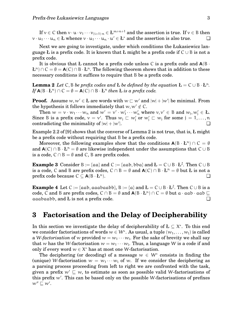If  $v\in C$  then  $v\cdot u\cdot v_1\cdots v_{(i+1)\cdot n}\in L^{m+n+1}$  and the assertion is true. If  $v\in B$  then  $v \cdot u_1 \cdots u_n \in L$  whence  $v \cdot u_1 \cdots u_n \cdot u' \in L^*$  and the assertion is also true.  $\Box$ 

Next we are going to investigate, under which conditions the Łukasiewicz language L is a prefix code. It is known that L might be a prefix code if  $C \cup B$  is not a prefix code.

It is obvious that L cannot be a prefix code unless C is a prefix code and  $A(B \cdot B)$  $L^{n}$ )  $\cap$  C =  $\emptyset$  = **A**(C)  $\cap$  B · Ł<sup>n</sup>. The following theorem shows that in addition to these necessary conditions it suffices to require that B be a prefix code.

**Lemma 2** Let C, B be prefix codes and L be defined by the equation  $L = C \cup B \cdot L^{n}$ .  $\mathbf{I} \mathbf{f} \mathbf{A} (\mathbf{B} \cdot \mathbf{L}^n) \cap \mathbf{C} = \emptyset = \mathbf{A}(\mathbf{C}) \cap \mathbf{B} \cdot \mathbf{L}^n$  then *Ł is a prefix code.* 

**Proof.** Assume  $w, w' \in L$  are words with  $w \subset w'$  and  $|w| + |w'|$  be minimal. From the hypothesis it follows immediately that  $w, w' \notin C$ .

Then  $w = v \cdot w_1 \cdots w_n$  and  $w' = v' \cdot w'_1 \cdots w'_n$  where  $v, v' \in B$  and  $w_j, w'_j \in L$ . Since B is a prefix code,  $v = v'$ . Thus  $w_j \subset w'_j$  or  $w'_j \subset w_j$  for some  $j = 1, \ldots, n$ contradicting the minimality of  $|w| + |w'|$ . |. ❏

Example 2.2 of [9] shows that the converse of Lemma 2 is not true, that is, Ł might be a prefix code without requiring that B be a prefix code.

Moreover, the following examples show that the conditions  $A(B \cdot L^n) \cap C = \emptyset$ and  $\mathbf{A}(C) \cap B \cdot L^n = \emptyset$  are likewise independent under the assumptions that  $C \cup B$ is a code,  $C \cap B = \emptyset$  and C, B are prefix codes.

**Example 3** Consider B := {aa} and C := {aab, bba} and  $L = C \cup B \cdot L^2$ . Then  $C \cup B$ is a code, C and B are prefix codes,  $C \cap B = \emptyset$  and  $A(C) \cap B \cdot L^n = \emptyset$  but L is not a prefix code because C ⊆ **A**(B · Ł n  $\Box$ ).

**Example 4** Let C := {aab, aaabaabb}, B := {a} and  $L = C \cup B \cdot L^2$ . Then  $C \cup B$  is a code, C and B are prefix codes, C ∩ B = Ø and  $\mathsf{A}(B \cdot E^n) \cap C = \emptyset$  but a  $\cdot$  aab  $\cdot$  aab  $\sqsubseteq$ aaabaabb, and Ł is not a prefix code. ❏

#### **3 Factorisation and the Delay of Decipherability**

In this section we investigate the delay of decipherability of  $L \subseteq X^*$ . To this end we consider factorisations of words  $w \in W^*$ . As usual, a tuple  $(w_1, \ldots, w_l)$  is called a W-*factorisation* of  $w$  provided  $w = w_1 \cdots w_l.$  For the sake of brevity we shall say that w has the W-factorisation  $w = w_1 \cdots w_l$ . Thus, a language W is a code if and only if every word  $w \in X^*$  has at most one W-factorisation.

The deciphering (or decoding) of a message  $w \in W^*$  consists in finding the (unique) W-factorisation  $w = w_1 \cdots w_l$  of w. If we consider the deciphering as a parsing process proceeding from left to right we are confronted with the task, given a prefix  $w' \sqsubseteq w$ , to estimate as soon as possible valid W-factorisations of this prefix  $w'$ . This can be based only on the possible W-factorisations of prefixes  $w'' \sqsubseteq w'.$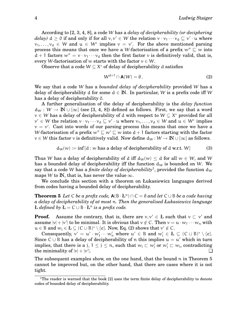According to [2, 3, 4, 8], a code W has a *delay of decipherability (or deciphering delay*)  $d \ge 0$  if and only if for all  $v, v' \in W$  the relation  $v \cdot v_1 \cdots v_d \sqsubseteq v' \cdot u$  where  $v_1, \ldots, v_d \in W$  and  $u \in W^*$  implies  $v = v'$ . For the above mentioned parsing process this means that once we have a W-factorisation of a prefix  $w'' \sqsubseteq w$  into  $d + 1$  factors  $w'' = v \cdot v_1 \cdots v_d$  then the first factor v is definitively valid, that is, every W-factorisation of w starts with the factor  $v \in W$ .

Observe that a code  $W \subseteq X^*$  of delay of decipherability d satisfies

$$
W^{d+1} \cap \mathbf{A}(W) = \emptyset. \tag{2}
$$

We say that a code W has a *bounded delay of decipherability* provided W has a delay of decipherability d for some  $d \in \mathbb{N}$ . In particular, W is a prefix code iff W has a delay of decipherability 0.

A further generalisation of the delay of decipherability is the *delay function*  $d_W : W \to \mathbb{N} \cup \{\infty\}$  (see [3, 4, 8]) defined as follows. First, we say that a word  $v \in W$  has a delay of decipherability of d with respect to  $W \subseteq X^*$  provided for all  $v' \in W$  the relation  $v \cdot v_1 \cdots v_d \sqsubseteq v' \cdot u$  where  $v_1, \ldots, v_d \in W$  and  $u \in W^*$  implies  $v = v'$ . Cast into words of our parsing process this means that once we have a W-factorisation of a prefix  $w'' \sqsubseteq w' \sqsubseteq w$  into  $d + 1$  factors starting with the factor  $v \in W$  this factor v is definitively valid. Now define  $d_W : W \to \mathbb{N} \cup \{\infty\}$  as follows.

$$
d_W(w) := \inf\{d : w \text{ has a delay of decipherability of } d \text{ w.r.t. } W\}
$$
 (3)

Thus W has a delay of decipherability of d iff  $d_W(w) \leq d$  for all  $w \in W$ , and W has a bounded delay of decipherability iff the function  $d_W$  is bounded on W. We say that a code W has a *finite delay of decipherability*<sup>1</sup>, provided the function  $d_W$ maps W to IN, that is, has never the value  $\infty$ .

We conclude this section with a theorem on Łukasiewicz languages derived from codes having a bounded delay of decipherability.

**Theorem 5** Let C be a prefix code,  $A(B \cdot L^n) \cap C = \emptyset$  and let  $C \cup B$  be a code having *a delay of decipherability of at most* n*. Then the generalised Łukasiewicz language*  $$ 

**Proof.** Assume the contrary, that is, there are  $v, v' \in L$  such that  $v \subset v'$  and assume  $|v| + |v'|$  to be minimal. It is obvious that  $v \notin C$ . Then  $v = u \cdot w_1 \cdots w_n$  with  $u \in B$  and  $w_i \in L \subseteq (C \cup B)^* \setminus \{e\}$ . Now, Eq. (2) shows that  $v' \notin C$ .

Consequently,  $v' = u' \cdot w_1' \cdots w_n'$  where  $u' \in B$  and  $w_i' \in L \subseteq (C \cup B)^* \setminus \{e\}.$ Since  $C \cup B$  has a delay of decipherability of n this implies  $u = u'$  which in turn implies, that there is a j,  $1 \le j \le n$ , such that  $w_j \sqsubset w'_j$  or  $w'_j \sqsubset w_j$ , contradicting the minimality of  $|v| + |v'|$ |. ❏

The subsequent examples show, on the one hand, that the bound n in Theorem 5 cannot be improved but, on the other hand, that there are cases where it is not tight.

<sup>&</sup>lt;sup>1</sup>The reader is warned that the book [2] uses the term finite delay of decipherability to denote codes of bounded delay of decipherability.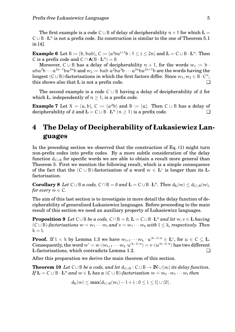The first example is a code C ∪ B of delay of decipherability  $n + 1$  for which  $L =$  $C \cup B \cdot L^n$  is not a prefix code. Its construction is similar to the one of Theorem 5.1 in [4].

**Example 6** Let B := {b, bab}, C := { $a^{j}ba^{j+1}b: 1 \leq j \leq 2n$ } and  $\mathbf{L} = \mathbf{C} \cup \mathbf{B} \cdot \mathbf{L}^{n}$ . Then C is a prefix code and  $C \cap A(B \cdot L^n) = \emptyset$ .

Moreover, C ∪ B has a delay of decipherability  $n + 1$ , for the words  $w_1 := b$ . aba<sup>2</sup>b · · · a<sup>2n-1</sup>ba<sup>2n</sup>b and  $w_2 :=$  bab ·  $a^2$ ba<sup>3</sup>b · · ·  $a^{2n}$ ba<sup>2n+1</sup>b are the words having the longest (C∪B)-factorisations in which the first factors differ. Since  $w_1, w_2 \in B \cdot C^n$ , this shows also that  $E$  is not a prefix code.  $\Box$ 

The second example is a code  $C \cup B$  having a delay of decipherability of d for which Ł, independently of  $n \geq 1$ , is a prefix code.

**Example 7** Let  $X = \{a, b\}$ ,  $C := \{a^db\}$  and  $B := \{a\}$ . Then  $C \cup B$  has a delay of decipherability of d and  $L = C \cup B \cdot L^n$   $(n \ge 1)$  is a prefix code.

# **4 The Delay of Decipherability of Łukasiewicz Languages**

In the preceding section we observed that the construction of Eq. (1) might turn non-prefix codes into prefix codes. By a more subtle consideration of the delay function  $d_{\text{C}\cup\text{B}}$  for specific words we are able to obtain a result more general than Theorem 5. First we mention the following result, which is a simple consequence of the fact that the  $(C \cup B)$ -factorisation of a word  $w \in L^*$  is longer than its *L*factorisation.

**Corollary 8** *Let*  $C \cup B$  *a code,*  $C \cap B = \emptyset$  *and*  $L = C \cup B \cdot L^n$ . *Then*  $d_L(w) \leq d_{C \cup B}(w)$ *, for every*  $w \in C$ *.* 

The aim of this last section is to investigate in more detail the delay function of decipherability of generalized Łukasiewicz languages. Before proceeding to the main result of this section we need an auxiliary property of Łukasiewicz languages.

**Proposition 9** *Let*  $C \cup B$  *be a code,*  $C \cap B = \emptyset$ ,  $L = C \cup B \cdot L^n$  *and let*  $w, v \in L$  *having*  $(C \cup B)$ *-factorisations*  $w = w_1 \cdots w_l$  *and*  $v = w_1 \cdots w_k$  *with*  $l \le k$ *, respectively. Then*  $k = l$ .

**Proof.** If  $l < k$  by Lemma 1.3 we have  $w_{l+1}\cdots w_k \cdot u^{(k-l)\cdot n} \in L^*$ , for  $u \in C \subseteq L$ . Consequently, the word  $w' = w \cdot (w_{l+1} \cdots w_k \cdot u^{(k-l) \cdot n}) = v \cdot (u^{(k-l) \cdot n})$  has two different Ł-factorisations, which contradicts Lemma 1.2. ❏

After this preparation we derive the main theorem of this section.

**Theorem 10** *Let* C∪B *be a code, and let*  $d_{C\cup B}: C\cup B \rightarrow \mathbb{N}\cup\{\infty\}$  *its delay function.*  $\mathbf{I} f \mathbf{L} = \mathbf{C} \cup \mathbf{B} \cdot \mathbf{L}^n$  and  $w \in \mathbf{L}$  has a  $(\mathbf{C} \cup \mathbf{B})$ -factorisation  $w = w_0 \cdot w_1 \cdots w_l$  then

$$
d_L(w) \leq max\{d_{C\cup B}(w_i)-l+i: 0\leq i\leq l\}\cup\{0\}.
$$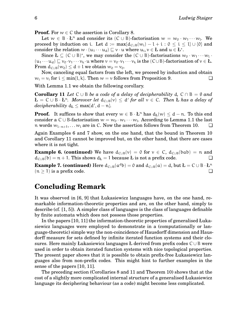**Proof.** For  $w \in C$  the assertion is Corollary 8.

Let  $w \in B \cdot L^n$  and consider its  $(C \cup B)$ -factorisation  $w = w_0 \cdot w_1 \cdots w_l$ . We proceed by induction on i. Let  $d := max{d_{C\cup B}(w_i) - l + i : 0 \le i \le l} \cup {0}$  and consider the relation  $w \cdot (u_1 \cdots u_d) \sqsubseteq v \cdot u$  where  $u_i, v \in L$  and  $u \in L^*$ .

Since  $L \subseteq (C \cup B)^*$ , we may consider the  $(C \cup B)$ -factorisations  $w_0 \cdot w_1 \cdots w_l$ .  $(u_1 \cdots u_d) \sqsubseteq v_0 \cdots v_1 \cdots v_k \cdot u$  where  $v = v_0 \cdots v_1 \cdots v_k$  is the  $(C \cup B)$ -factorisation of  $v \in L$ . From  $d_{C\cup B}(w_0) \leq d + l$  we obtain  $w_0 = v_0$ .

Now, canceling equal factors from the left, we proceed by induction and obtain  $w_i = v_i$  for  $i \le \min\{1, k\}$ . Then  $w = v$  follows from Proposition 9.

With Lemma 1.1 we obtain the following corollary.

**Corollary 11** *Let*  $C \cup B$  *be a code of a delay of decipherability* d,  $C \cap B = \emptyset$  *and*  $\mathbf{L} = \mathbf{C} \cup \mathbf{B} \cdot \mathbf{L}^n$ . Moreover let  $\mathbf{d}_{\mathsf{C} \cup \mathsf{B}}(v) \leq \mathbf{d}'$  for all  $v \in \mathsf{C}$ . Then  $\mathbf{L}$  has a delay of  $decipherability d<sub>L</sub> \leq max\{d', d-n\}.$ 

**Proof.** It suffices to show that every  $w \in B \cdot L^n$  has  $d_L(w) \leq d - n$ . To this end consider a C∪B-factorisation  $w = w_0 \cdot w_1 \cdots w_l$ . According to Lemma 1.1 the last n words  $w_{l-n+1}, \ldots w_l$  are in C. Now the assertion follows from Theorem 10. <del>□</del>

Again Examples 6 and 7 show, on the one hand, that the bound in Theorem 10 and Corollary 11 cannot be improved but, on the other hand, that there are cases where it is not tight.

**Example 6. (continued)** We have  $d_{C\cup B}(v) = 0$  for  $v \in C$ ,  $d_{C\cup B}(bab) = n$  and  $d_{\text{C}\cup\text{B}}(b) = n + 1$ . This shows  $d_k = 1$  because L is not a prefix code.

**Example 7. (continued)** Here  $d_{C\cup B}(a^db) = 0$  and  $d_{C\cup B}(a) = d$ , but  $L = C \cup B \cdot L^n$  $(n > 1)$  is a prefix code.

## **Concluding Remark**

It was observed in [6, 9] that Łukasiewicz languages have, on the one hand, remarkable information-theoretic properties and are, on the other hand, simply to describe (cf. [1, 5]). A simpler class of languages is the class of languages definable by finite automata which does not possess those properties.

In the papers [10, 11] the information-theoretic properties of generalised Łukasiewicz languages were employed to demonstrate in a (computationally or language-theoretic) simple way the non-coincidence of Hausdorff dimension and Hausdorff measure for sets defined by infinite iterated function systems and their closures. Here mainly Łukasiewicz languages Ł derived from prefix codes C ∪ B were used in order to obtain iterated function systems with nice topological properties. The present paper shows that it is possible to obtain prefix-free Łukasiewicz languages also from non-prefix codes. This might hint to further examples in the sense of the papers [10, 11].

The preceding section (Corollaries 8 and 11 and Theorem 10) shows that at the cost of a slightly more complicated internal structure of a generalised Łukasiewicz language its deciphering behaviour (as a code) might become less complicated.